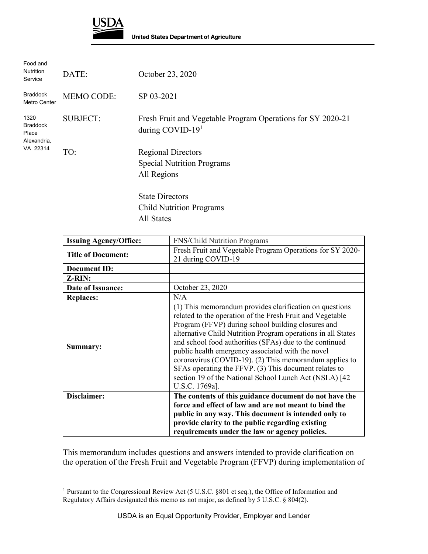

 $\overline{a}$ 

| Food and<br><b>Nutrition</b><br>Service                     | DATE:             | October 23, 2020                                                                   |
|-------------------------------------------------------------|-------------------|------------------------------------------------------------------------------------|
| <b>Braddock</b><br>Metro Center                             | <b>MEMO CODE:</b> | SP 03-2021                                                                         |
| 1320<br><b>Braddock</b><br>Place<br>Alexandria,<br>VA 22314 | <b>SUBJECT:</b>   | Fresh Fruit and Vegetable Program Operations for SY 2020-21<br>during COVID-19 $1$ |
|                                                             | TO:               | <b>Regional Directors</b><br><b>Special Nutrition Programs</b><br>All Regions      |
|                                                             |                   | <b>State Directors</b>                                                             |
|                                                             |                   | <b>Child Nutrition Programs</b>                                                    |

All States

| <b>Issuing Agency/Office:</b> | <b>FNS/Child Nutrition Programs</b>                                                                                                                                                                                                                                                                                                                                                                                                                                                                                                                       |
|-------------------------------|-----------------------------------------------------------------------------------------------------------------------------------------------------------------------------------------------------------------------------------------------------------------------------------------------------------------------------------------------------------------------------------------------------------------------------------------------------------------------------------------------------------------------------------------------------------|
| <b>Title of Document:</b>     | Fresh Fruit and Vegetable Program Operations for SY 2020-<br>21 during COVID-19                                                                                                                                                                                                                                                                                                                                                                                                                                                                           |
| <b>Document ID:</b>           |                                                                                                                                                                                                                                                                                                                                                                                                                                                                                                                                                           |
| Z-RIN:                        |                                                                                                                                                                                                                                                                                                                                                                                                                                                                                                                                                           |
| Date of Issuance:             | October 23, 2020                                                                                                                                                                                                                                                                                                                                                                                                                                                                                                                                          |
| <b>Replaces:</b>              | N/A                                                                                                                                                                                                                                                                                                                                                                                                                                                                                                                                                       |
| Summary:                      | (1) This memorandum provides clarification on questions<br>related to the operation of the Fresh Fruit and Vegetable<br>Program (FFVP) during school building closures and<br>alternative Child Nutrition Program operations in all States<br>and school food authorities (SFAs) due to the continued<br>public health emergency associated with the novel<br>coronavirus (COVID-19). (2) This memorandum applies to<br>SFAs operating the FFVP. (3) This document relates to<br>section 19 of the National School Lunch Act (NSLA) [42<br>U.S.C. 1769a]. |
| Disclaimer:                   | The contents of this guidance document do not have the<br>force and effect of law and are not meant to bind the<br>public in any way. This document is intended only to<br>provide clarity to the public regarding existing<br>requirements under the law or agency policies.                                                                                                                                                                                                                                                                             |

This memorandum includes questions and answers intended to provide clarification on the operation of the Fresh Fruit and Vegetable Program (FFVP) during implementation of

<span id="page-0-0"></span><sup>1</sup> Pursuant to the Congressional Review Act (5 U.S.C. §801 et seq.), the Office of Information and Regulatory Affairs designated this memo as not major, as defined by 5 U.S.C. § 804(2).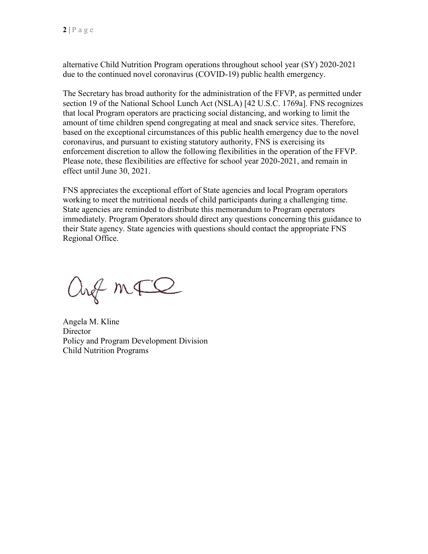alternative Child Nutrition Program operations throughout school year (SY) 2020-2021 due to the continued novel coronavirus (COVID-19) public health emergency.

The Secretary has broad authority for the administration of the FFVP, as permitted under section 19 of the National School Lunch Act (NSLA) [42 U.S.C. 1769a]. FNS recognizes that local Program operators are practicing social distancing, and working to limit the amount of time children spend congregating at meal and snack service sites. Therefore, based on the exceptional circumstances of this public health emergency due to the novel coronavirus, and pursuant to existing statutory authority, FNS is exercising its enforcement discretion to allow the following flexibilities in the operation of the FFVP. Please note, these flexibilities are effective for school year 2020-2021, and remain in effect until June 30, 2021.

FNS appreciates the exceptional effort of State agencies and local Program operators working to meet the nutritional needs of child participants during a challenging time. State agencies are reminded to distribute this memorandum to Program operators immediately. Program Operators should direct any questions concerning this guidance to their State agency. State agencies with questions should contact the appropriate FNS Regional Office.

and mall

Angela M. Kline **Director** Policy and Program Development Division Child Nutrition Programs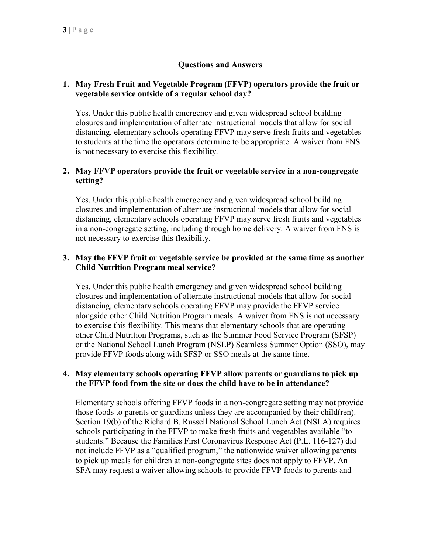# **Questions and Answers**

#### **1. May Fresh Fruit and Vegetable Program (FFVP) operators provide the fruit or vegetable service outside of a regular school day?**

Yes. Under this public health emergency and given widespread school building closures and implementation of alternate instructional models that allow for social distancing, elementary schools operating FFVP may serve fresh fruits and vegetables to students at the time the operators determine to be appropriate. A waiver from FNS is not necessary to exercise this flexibility.

## **2. May FFVP operators provide the fruit or vegetable service in a non-congregate setting?**

Yes. Under this public health emergency and given widespread school building closures and implementation of alternate instructional models that allow for social distancing, elementary schools operating FFVP may serve fresh fruits and vegetables in a non-congregate setting, including through home delivery. A waiver from FNS is not necessary to exercise this flexibility.

#### **3. May the FFVP fruit or vegetable service be provided at the same time as another Child Nutrition Program meal service?**

Yes. Under this public health emergency and given widespread school building closures and implementation of alternate instructional models that allow for social distancing, elementary schools operating FFVP may provide the FFVP service alongside other Child Nutrition Program meals. A waiver from FNS is not necessary to exercise this flexibility. This means that elementary schools that are operating other Child Nutrition Programs, such as the Summer Food Service Program (SFSP) or the National School Lunch Program (NSLP) Seamless Summer Option (SSO), may provide FFVP foods along with SFSP or SSO meals at the same time.

#### **4. May elementary schools operating FFVP allow parents or guardians to pick up the FFVP food from the site or does the child have to be in attendance?**

Elementary schools offering FFVP foods in a non-congregate setting may not provide those foods to parents or guardians unless they are accompanied by their child(ren). Section 19(b) of the Richard B. Russell National School Lunch Act (NSLA) requires schools participating in the FFVP to make fresh fruits and vegetables available "to students." Because the Families First Coronavirus Response Act (P.L. 116-127) did not include FFVP as a "qualified program," the nationwide waiver allowing parents to pick up meals for children at non-congregate sites does not apply to FFVP. An SFA may request a waiver allowing schools to provide FFVP foods to parents and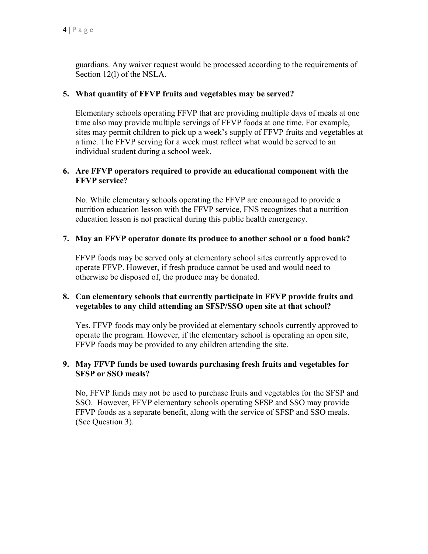guardians. Any waiver request would be processed according to the requirements of Section 12(l) of the NSLA.

#### **5. What quantity of FFVP fruits and vegetables may be served?**

Elementary schools operating FFVP that are providing multiple days of meals at one time also may provide multiple servings of FFVP foods at one time. For example, sites may permit children to pick up a week's supply of FFVP fruits and vegetables at a time. The FFVP serving for a week must reflect what would be served to an individual student during a school week.

## **6. Are FFVP operators required to provide an educational component with the FFVP service?**

No. While elementary schools operating the FFVP are encouraged to provide a nutrition education lesson with the FFVP service, FNS recognizes that a nutrition education lesson is not practical during this public health emergency.

## **7. May an FFVP operator donate its produce to another school or a food bank?**

FFVP foods may be served only at elementary school sites currently approved to operate FFVP. However, if fresh produce cannot be used and would need to otherwise be disposed of, the produce may be donated.

## **8. Can elementary schools that currently participate in FFVP provide fruits and vegetables to any child attending an SFSP/SSO open site at that school?**

Yes. FFVP foods may only be provided at elementary schools currently approved to operate the program. However, if the elementary school is operating an open site, FFVP foods may be provided to any children attending the site.

## **9. May FFVP funds be used towards purchasing fresh fruits and vegetables for SFSP or SSO meals?**

No, FFVP funds may not be used to purchase fruits and vegetables for the SFSP and SSO. However, FFVP elementary schools operating SFSP and SSO may provide FFVP foods as a separate benefit, along with the service of SFSP and SSO meals. (See Question 3).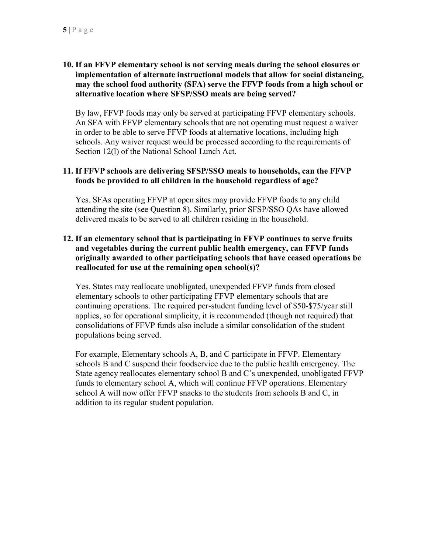## **10. If an FFVP elementary school is not serving meals during the school closures or implementation of alternate instructional models that allow for social distancing, may the school food authority (SFA) serve the FFVP foods from a high school or alternative location where SFSP/SSO meals are being served?**

By law, FFVP foods may only be served at participating FFVP elementary schools. An SFA with FFVP elementary schools that are not operating must request a waiver in order to be able to serve FFVP foods at alternative locations, including high schools. Any waiver request would be processed according to the requirements of Section 12(l) of the National School Lunch Act.

### **11. If FFVP schools are delivering SFSP/SSO meals to households, can the FFVP foods be provided to all children in the household regardless of age?**

Yes. SFAs operating FFVP at open sites may provide FFVP foods to any child attending the site (see Question 8). Similarly, prior SFSP/SSO QAs have allowed delivered meals to be served to all children residing in the household.

## **12. If an elementary school that is participating in FFVP continues to serve fruits and vegetables during the current public health emergency, can FFVP funds originally awarded to other participating schools that have ceased operations be reallocated for use at the remaining open school(s)?**

Yes. States may reallocate unobligated, unexpended FFVP funds from closed elementary schools to other participating FFVP elementary schools that are continuing operations. The required per-student funding level of \$50-\$75/year still applies, so for operational simplicity, it is recommended (though not required) that consolidations of FFVP funds also include a similar consolidation of the student populations being served.

For example, Elementary schools A, B, and C participate in FFVP. Elementary schools B and C suspend their foodservice due to the public health emergency. The State agency reallocates elementary school B and C's unexpended, unobligated FFVP funds to elementary school A, which will continue FFVP operations. Elementary school A will now offer FFVP snacks to the students from schools B and C, in addition to its regular student population.